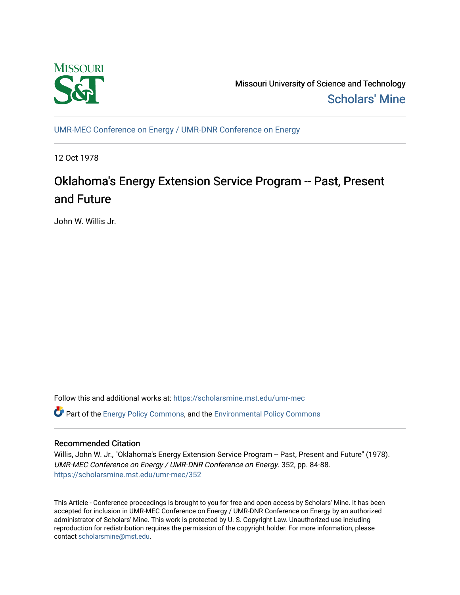

Missouri University of Science and Technology [Scholars' Mine](https://scholarsmine.mst.edu/) 

[UMR-MEC Conference on Energy / UMR-DNR Conference on Energy](https://scholarsmine.mst.edu/umr-mec)

12 Oct 1978

# Oklahoma's Energy Extension Service Program -- Past, Present and Future

John W. Willis Jr.

Follow this and additional works at: [https://scholarsmine.mst.edu/umr-mec](https://scholarsmine.mst.edu/umr-mec?utm_source=scholarsmine.mst.edu%2Fumr-mec%2F352&utm_medium=PDF&utm_campaign=PDFCoverPages) 

**C** Part of the [Energy Policy Commons](http://network.bepress.com/hgg/discipline/1065?utm_source=scholarsmine.mst.edu%2Fumr-mec%2F352&utm_medium=PDF&utm_campaign=PDFCoverPages), and the Environmental Policy Commons

# Recommended Citation

Willis, John W. Jr., "Oklahoma's Energy Extension Service Program -- Past, Present and Future" (1978). UMR-MEC Conference on Energy / UMR-DNR Conference on Energy. 352, pp. 84-88. [https://scholarsmine.mst.edu/umr-mec/352](https://scholarsmine.mst.edu/umr-mec/352?utm_source=scholarsmine.mst.edu%2Fumr-mec%2F352&utm_medium=PDF&utm_campaign=PDFCoverPages) 

This Article - Conference proceedings is brought to you for free and open access by Scholars' Mine. It has been accepted for inclusion in UMR-MEC Conference on Energy / UMR-DNR Conference on Energy by an authorized administrator of Scholars' Mine. This work is protected by U. S. Copyright Law. Unauthorized use including reproduction for redistribution requires the permission of the copyright holder. For more information, please contact [scholarsmine@mst.edu](mailto:scholarsmine@mst.edu).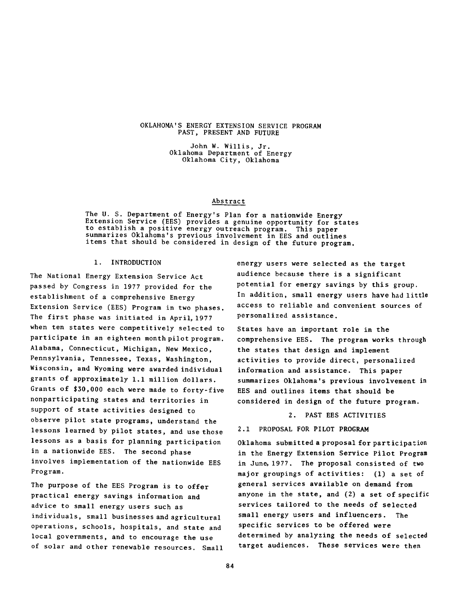#### OKLAHOMA'S ENERGY EXTENSION SERVICE PROGRAM PAST, PRESENT AND FUTURE

John W. Willis, Jr. Oklahoma Department of Energy Oklahoma City, Oklahoma

### Abstract

The U. S. Department of Energy's Plan for a nationwide Energy Extension Service (EES) provides a genuine opportunity for states to establish a positive energy outreach program. This paper summarizes Oklahoma's previous involvement in EES and outlines items that should be considered in design of the future program.

# 1. INTRODUCTION

The National Energy Extension Service Act passed by Congress in 1977 provided for the establishment of a comprehensive Energy Extension Service (EES) Program in two phases. The first phase was initiated in April, 1977 when ten states were competitively selected to participate in an eighteen month pilot program. Alabama, Connecticut, Michigan, New Mexico, Pennsylvania, Tennessee, Texas, Washington, Wisconsin, and Wyoming were awarded individual grants of approximately 1.1 million dollars. Grants of \$30,000 each were made to forty-five nonparticipating states and territories in support of state activities designed to observe pilot state programs, understand the lessons learned by pilot states, and use those lessons as a basis for planning participation in a nationwide EES. The second phase involves implementation of the nationwide EES Program.

The purpose of the EES Program is to offer practical energy savings information and advice to small energy users such as individuals, small businesses and agricultural operations, schools, hospitals, and state and local governments, and to encourage the use of solar and other renewable resources. Small

energy users were selected as the target audience because there is a significant potential for energy savings by this group. In addition, small energy users have had little access to reliable and convenient sources of personalized assistance.

States have an important role in the comprehensive EES. The program works through the states that design and implement activities to provide direct, personalized information and assistance. This paper summarizes Oklahoma's previous involvement in EES and outlines items that should be considered in design of the future program.

2. PAST EES ACTIVITIES

## 2.1 PROPOSAL FOR PILOT PROGRAM

Oklahoma submitted a proposal for participation in the Energy Extension Service Pilot Program in June, 1977 . The proposal consisted of two major groupings of activities: (1) a set of general services available on demand from anyone in the state, and (2) a set of specific services tailored to the needs of selected small energy users and influencers. The specific services to be offered were determined by analyzing the needs of selected target audiences. These services were then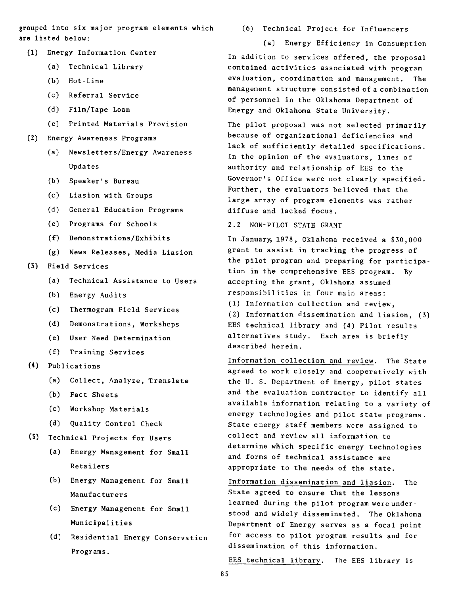grouped into six major program elements which are listed below:

- (1) Energy Information Center
	- (a) Technical Library
	- (b) Hot-Line
	- (c) Referral Service
	- (d) Film/Tape Loan
	- (e) Printed Materials Provision
- (2) Energy Awareness Programs
	- (a) Newsletters/Energy Awareness Updates
	- (b) Speaker's Bureau
	- (c) Liasion with Groups
	- (d) General Education Programs
	- (e) Programs for Schools
	- (f) Demonstrations/Exhibits
	- (g) News Releases, Media Liasion
- (3) Field Services
	- (a) Technical Assistance to Users
	- (b) Energy Audits
	- (c) Thermogram Field Services
	- (d) Demonstrations, Workshops
	- (e) User Need Determination
	- (f) Training Services
- (4) Publications
	- (a) Collect, Analyze, Translate
	- (b) Fact Sheets
	- (c) Workshop Materials
	- (d) Quality Control Check
- (5) Technical Projects for Users
	- (a) Energy Management for Small Retailers
	- (b) Energy Management for Small Manufacturers
	- (c) Energy Management for Small Municipalities
	- (d) Residential Energy Conservation Programs.

(6) Technical Project for Influencers

(a) Energy Efficiency in Consumption In addition to services offered, the proposal contained activities associated with program evaluation, coordination and management. The management structure consisted of a combination of personnel in the Oklahoma Department of Energy and Oklahoma State University.

The pilot proposal was not selected primarily because of organizational deficiencies and lack of sufficiently detailed specifications. In the opinion of the evaluators, lines of authority and relationship of EES to the Governor's Office were not clearly specified. Further, the evaluators believed that the large array of program elements was rather diffuse and lacked focus.

2.2 NON-PILOT STATE GRANT

In January, 1978, Oklahoma received a \$30,000 grant to assist in tracking the progress of the pilot program and preparing for participation in the comprehensive EES program. By accepting the grant, Oklahoma assumed responsibilities in four main areas:

(1) Information collection and review,

(2) Information dissemination and liasion, (3) EES technical library and (4) Pilot results alternatives study. Each area is briefly described herein.

Information collection and review. The State agreed to work closely and cooperatively with the U. S. Department of Energy, pilot states and the evaluation contractor to identify all available information relating to a variety of energy technologies and pilot state programs. State energy staff members were assigned to collect and review all information to determine which specific energy technologies and forms of technical assistance are appropriate to the needs of the state.

Information dissemination and liasion. The State agreed to ensure that the lessons learned during the pilot program were understood and widely disseminated. The Oklahoma Department of Energy serves as a focal point for access to pilot program results and for dissemination of this information.

EES technical library. The EES library is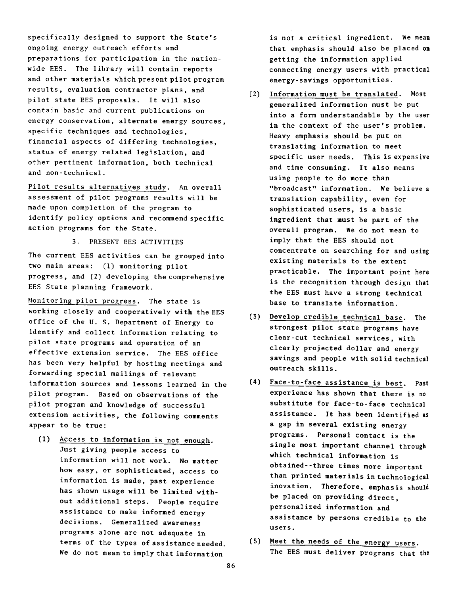specifically designed to support the State's ongoing energy outreach efforts and preparations for participation in the nationwide EES. The library will contain reports and other materials which present pilot program results, evaluation contractor plans, and pilot state EES proposals. It will also contain basic and current publications on energy conservation, alternate energy sources, specific techniques and technologies, financial aspects of differing technologies, status of energy related legislation, and other pertinent information, both technical and non-technical.

Pilot results alternatives study. An overall assessment of pilot programs results will be made upon completion of the program to identify policy options and recommend specific action programs for the State.

# 3. PRESENT EES ACTIVITIES

The current EES activities can be grouped into two main areas: (1) monitoring pilot progress, and (2) developing the comprehensive EES State planning framework.

Monitoring pilot progress. The state is working closely and cooperatively with the EES office of the U. S. Department of Energy to identify and collect information relating to pilot state programs and operation of an effective extension service. The EES office has been very helpful by hosting meetings and forwarding special mailings of relevant information sources and lessons learned in the pilot program. Based on observations of the pilot program and knowledge of successful extension activities, the following comments appear to be true:

(1) Access to information is not enough. Just giving people access to information will not work. No matter how easy, or sophisticated, access to information is made, past experience has shown usage will be limited without additional steps. People require assistance to make informed energy decisions. Generalized awareness programs alone are not adequate in terms of the types of assistance needed. We do not mean to imply that information

is not a critical ingredient. We mean that emphasis should also be placed on getting the information applied connecting energy users with practical energy-savings opportunities.

- (2) Information must be translated. Most generalized information must be put into a form understandable by the user in the context of the user's problem. Heavy emphasis should be put on translating information to meet specific user needs. This is expensive and time consuming. It also means using people to do more than "broadcast" information. We believe a translation capability, even for sophisticated users, is a basic ingredient that must be part of the overall program. We do not mean to imply that the EES should not concentrate on searching for and using existing materials to the extent practicable. The important point here is the recognition through design that the EES must have a strong technical base to translate information.
- (3) Develop credible technical base. The strongest pilot state programs have clear-cut technical services, with clearly projected dollar and energy savings and people with solid technical outreach skills.
- (4) Face-to-face assistance is best. Past experience has shown that there is no substitute for face-to-face technical assistance. It has been identified as a gap in several existing energy programs. Personal contact is the single most important channel through which technical information is obtained--three times more important than printed materials in technological inovation. Therefore, emphasis should be placed on providing direct, personalized information and assistance by persons credible to the users.
- (5) Meet the needs of the energy users. The EES must deliver programs that the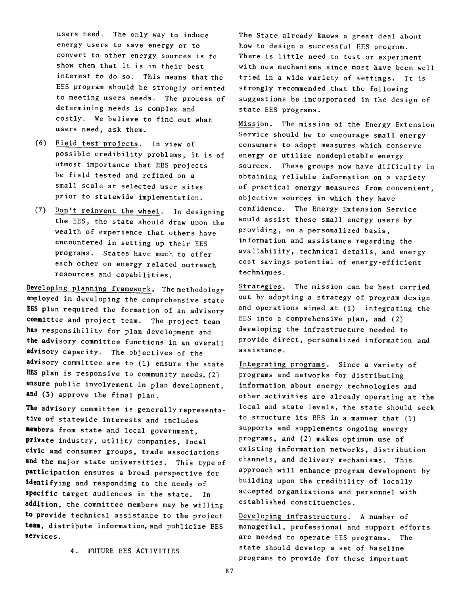users need. The only way to induce energy users to save energy or to convert to other energy sources is to show them that it is in their best interest to do so. This means that the EES program should be strongly oriented to meeting users needs. The process of determining needs is complex and costly. We believe to find out what users need, ask them.

- (6) Field test projects. In view of possible credibility problems, it is of utmost importance that EES projects be field tested and refined on a small scale at selected user sites prior to statewide implementation.
- (7) Don't reinvent the wheel. In designing the EES, the state should draw upon the wealth of experience that others have encountered in setting up their EES programs. States have much to offer each other on energy related outreach resources and capabilities.

Developing planning framework. The methodology employed in developing the comprehensive state EES plan required the formation of an advisory **committee** and project team. The project team **has** responsibility for plan development and **the** advisory committee functions in an overall **advisory** capacity. The objectives of the **advisory** committee are to **(1)** ensure the state EES plan is responsive to community needs,(2) **ensure** public involvement in plan development, **and (3)** approve the final plan.

**The** advisory committee is generally representative of statewide interests and includes **members** from state and local government, **private** industry, utility companies, local civic and consumer groups, trade associations **and** the major state universities. This type of participation ensures a broad perspective for identifying and responding to the needs of **specific target audiences in the state.** In addition, the committee members may be willing **to** provide technical assistance to the project **team,** distribute information, and publicize EES services.

The State already knows a great deal about how to design a successful EES program. There is little need to test or experiment with new mechanisms since most have been well tried in a wide variety of settings. It is strongly recommended that the following suggestions be incorporated in the design of state EES programs.

Mission. The mission of the Energy Extension Service should be to encourage small energy consumers to adopt measures which conserve energy or utilize nondepletable energy sources. These groups now have difficulty in obtaining reliable information on a variety of practical energy measures from convenient, objective sources in which they have confidence. The Energy Extension Service would assist these small energy users by providing, on a personalized basis, information and assistance regarding the availability, technical details, and energy cost savings potential of energy-efficient techniques.

Strategies. The mission can be best carried out by adopting a strategy of program design and operations aimed at (1) integrating the EES into a comprehensive plan, and (2) developing the infrastructure needed to provide direct, personalized information and assistance.

Integrating programs. Since a variety of programs and networks for distributing information about energy technologies and other activities are already operating at the local and state levels, the state should seek to structure its EES in a manner that (1) supports and supplements ongoing energy programs, and (2) makes optimum use of existing information networks, distribution channels, and delivery mechanisms. This approach will enhance program development by building upon the credibility of locally accepted organizations and personnel with established constituencies.

Developing infrastructure. A number of managerial, professional and support efforts are needed to operate EES programs. The state should develop a set of baseline programs to provide for these important

4. FUTURE EES ACTIVITIES